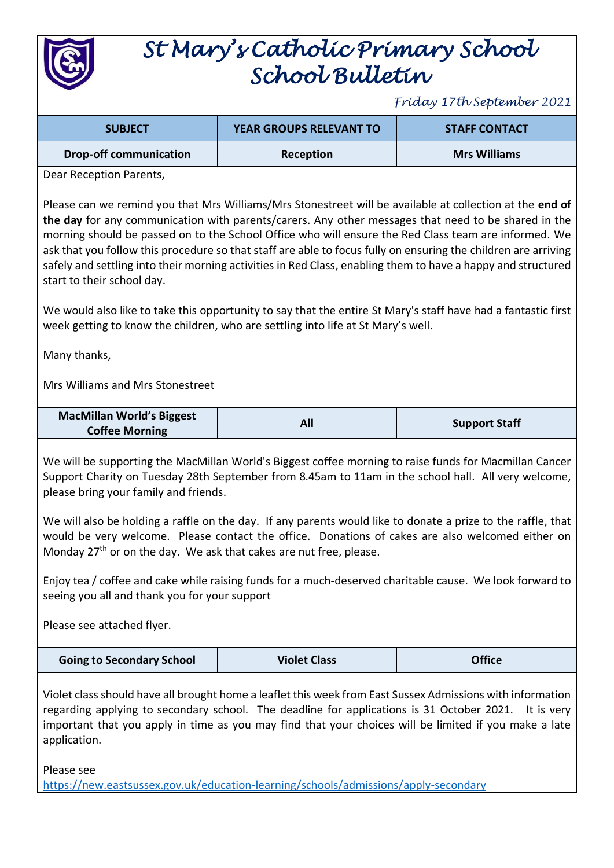

## *St Mary's Catholic Primary School School Bulletin*

*Friday 17th September 2021*

| <b>SUBJECT</b>                | <b>YEAR GROUPS RELEVANT TO</b> | <b>STAFF CONTACT</b> |
|-------------------------------|--------------------------------|----------------------|
| <b>Drop-off communication</b> | Reception                      | <b>Mrs Williams</b>  |

Dear Reception Parents,

Please can we remind you that Mrs Williams/Mrs Stonestreet will be available at collection at the **end of the day** for any communication with parents/carers. Any other messages that need to be shared in the morning should be passed on to the School Office who will ensure the Red Class team are informed. We ask that you follow this procedure so that staff are able to focus fully on ensuring the children are arriving safely and settling into their morning activities in Red Class, enabling them to have a happy and structured start to their school day.

We would also like to take this opportunity to say that the entire St Mary's staff have had a fantastic first week getting to know the children, who are settling into life at St Mary's well.

Many thanks,

Mrs Williams and Mrs Stonestreet

| <b>MacMillan World's Biggest</b> |     |                      |
|----------------------------------|-----|----------------------|
| <b>Coffee Morning</b>            | All | <b>Support Staff</b> |

We will be supporting the MacMillan World's Biggest coffee morning to raise funds for Macmillan Cancer Support Charity on Tuesday 28th September from 8.45am to 11am in the school hall. All very welcome, please bring your family and friends.

We will also be holding a raffle on the day. If any parents would like to donate a prize to the raffle, that would be very welcome. Please contact the office. Donations of cakes are also welcomed either on Monday 27<sup>th</sup> or on the day. We ask that cakes are nut free, please.

Enjoy tea / coffee and cake while raising funds for a much-deserved charitable cause. We look forward to seeing you all and thank you for your support

Please see attached flyer.

Violet class should have all brought home a leaflet this week from East Sussex Admissions with information regarding applying to secondary school. The deadline for applications is 31 October 2021. It is very important that you apply in time as you may find that your choices will be limited if you make a late application.

Please see

<https://new.eastsussex.gov.uk/education-learning/schools/admissions/apply-secondary>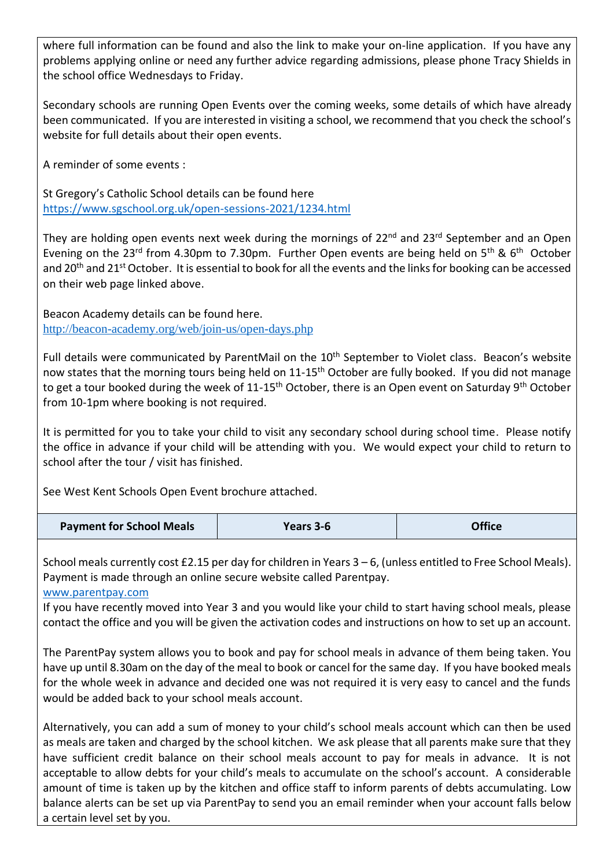where full information can be found and also the link to make your on-line application. If you have any problems applying online or need any further advice regarding admissions, please phone Tracy Shields in the school office Wednesdays to Friday.

Secondary schools are running Open Events over the coming weeks, some details of which have already been communicated. If you are interested in visiting a school, we recommend that you check the school's website for full details about their open events.

A reminder of some events :

St Gregory's Catholic School details can be found here <https://www.sgschool.org.uk/open-sessions-2021/1234.html>

They are holding open events next week during the mornings of 22<sup>nd</sup> and 23<sup>rd</sup> September and an Open Evening on the 23<sup>rd</sup> from 4.30pm to 7.30pm. Further Open events are being held on 5<sup>th</sup> & 6<sup>th</sup> October and 20<sup>th</sup> and 21<sup>st</sup> October. It is essential to book for all the events and the links for booking can be accessed on their web page linked above.

Beacon Academy details can be found here. <http://beacon-academy.org/web/join-us/open-days.php>

Full details were communicated by ParentMail on the 10<sup>th</sup> September to Violet class. Beacon's website now states that the morning tours being held on 11-15<sup>th</sup> October are fully booked. If you did not manage to get a tour booked during the week of 11-15<sup>th</sup> October, there is an Open event on Saturday 9<sup>th</sup> October from 10-1pm where booking is not required.

It is permitted for you to take your child to visit any secondary school during school time. Please notify the office in advance if your child will be attending with you. We would expect your child to return to school after the tour / visit has finished.

See West Kent Schools Open Event brochure attached.

| <b>Payment for School Meals</b> | Years 3-6 | <b>Office</b> |
|---------------------------------|-----------|---------------|
|---------------------------------|-----------|---------------|

School meals currently cost £2.15 per day for children in Years 3 – 6, (unless entitled to Free School Meals). Payment is made through an online secure website called Parentpay.

[www.parentpay.com](http://www.parentpay.com/)

If you have recently moved into Year 3 and you would like your child to start having school meals, please contact the office and you will be given the activation codes and instructions on how to set up an account.

The ParentPay system allows you to book and pay for school meals in advance of them being taken. You have up until 8.30am on the day of the meal to book or cancel for the same day. If you have booked meals for the whole week in advance and decided one was not required it is very easy to cancel and the funds would be added back to your school meals account.

Alternatively, you can add a sum of money to your child's school meals account which can then be used as meals are taken and charged by the school kitchen. We ask please that all parents make sure that they have sufficient credit balance on their school meals account to pay for meals in advance. It is not acceptable to allow debts for your child's meals to accumulate on the school's account. A considerable amount of time is taken up by the kitchen and office staff to inform parents of debts accumulating. Low balance alerts can be set up via ParentPay to send you an email reminder when your account falls below a certain level set by you.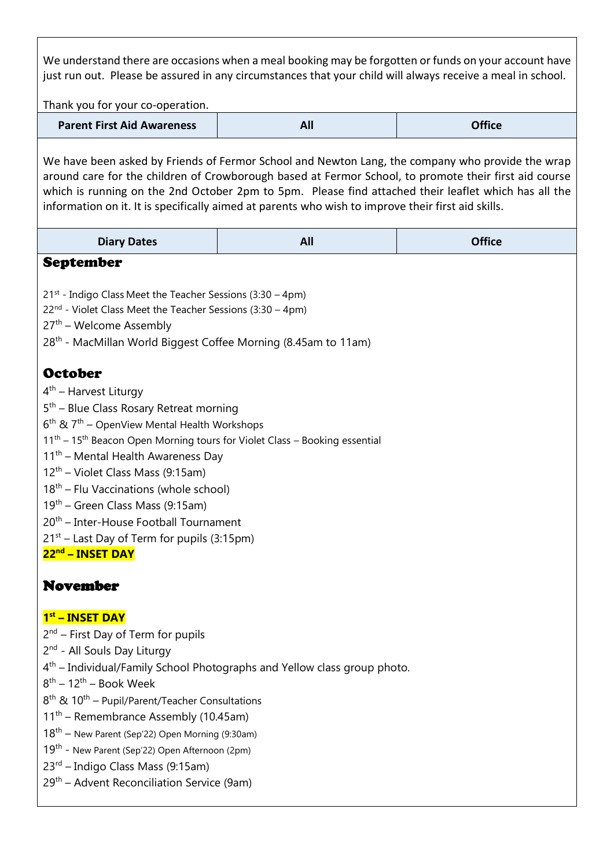We understand there are occasions when a meal booking may be forgotten or funds on your account have just run out. Please be assured in any circumstances that your child will always receive a meal in school.

Thank you for your co-operation.

| <b>Parent First Aid Awareness</b> | All | <b>Office</b> |
|-----------------------------------|-----|---------------|
|-----------------------------------|-----|---------------|

We have been asked by Friends of Fermor School and Newton Lang, the company who provide the wrap around care for the children of Crowborough based at Fermor School, to promote their first aid course which is running on the 2nd October 2pm to 5pm. Please find attached their leaflet which has all the information on it. It is specifically aimed at parents who wish to improve their first aid skills.

| <b>Diary Dates</b>                                                                                                                                                                                                                                                                                                                                                                                                                                                                                                                                                                                                             | All                                                                                  | <b>Office</b> |
|--------------------------------------------------------------------------------------------------------------------------------------------------------------------------------------------------------------------------------------------------------------------------------------------------------------------------------------------------------------------------------------------------------------------------------------------------------------------------------------------------------------------------------------------------------------------------------------------------------------------------------|--------------------------------------------------------------------------------------|---------------|
| <b>September</b>                                                                                                                                                                                                                                                                                                                                                                                                                                                                                                                                                                                                               |                                                                                      |               |
| $21st$ - Indigo Class Meet the Teacher Sessions (3:30 – 4pm)<br>$22nd$ - Violet Class Meet the Teacher Sessions (3:30 – 4pm)<br>$27th$ – Welcome Assembly<br>28 <sup>th</sup> - MacMillan World Biggest Coffee Morning (8.45am to 11am)                                                                                                                                                                                                                                                                                                                                                                                        |                                                                                      |               |
| <b>October</b><br>$4th$ – Harvest Liturgy<br>$5th$ – Blue Class Rosary Retreat morning<br>6 <sup>th</sup> & 7 <sup>th</sup> - OpenView Mental Health Workshops<br>11 <sup>th</sup> - 15 <sup>th</sup> Beacon Open Morning tours for Violet Class - Booking essential<br>11 <sup>th</sup> – Mental Health Awareness Day<br>12 <sup>th</sup> - Violet Class Mass (9:15am)<br>18 <sup>th</sup> – Flu Vaccinations (whole school)<br>19 <sup>th</sup> – Green Class Mass (9:15am)<br>20 <sup>th</sup> – Inter-House Football Tournament<br>21 <sup>st</sup> – Last Day of Term for pupils (3:15pm)<br>22 <sup>nd</sup> – INSET DAY |                                                                                      |               |
| <b>November</b>                                                                                                                                                                                                                                                                                                                                                                                                                                                                                                                                                                                                                |                                                                                      |               |
| 1 <sup>st</sup> - INSET DAY<br>$2nd$ – First Day of Term for pupils<br>2 <sup>nd</sup> - All Souls Day Liturgy<br>$8^{th}$ – 12 <sup>th</sup> – Book Week<br>$8^{\text{th}}$ & $10^{\text{th}}$ – Pupil/Parent/Teacher Consultations<br>$11th$ – Remembrance Assembly (10.45am)<br>$18th$ – New Parent (Sep'22) Open Morning (9:30am)<br>19 <sup>th</sup> - New Parent (Sep'22) Open Afternoon (2pm)<br>23 <sup>rd</sup> – Indigo Class Mass (9:15am)<br>29 <sup>th</sup> – Advent Reconciliation Service (9am)                                                                                                                | 4 <sup>th</sup> – Individual/Family School Photographs and Yellow class group photo. |               |